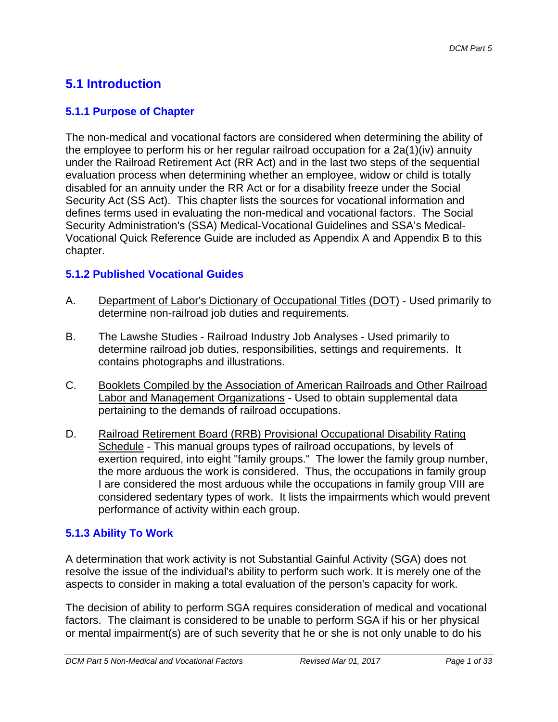# **5.1 Introduction**

## **5.1.1 Purpose of Chapter**

The non-medical and vocational factors are considered when determining the ability of the employee to perform his or her regular railroad occupation for a 2a(1)(iv) annuity under the Railroad Retirement Act (RR Act) and in the last two steps of the sequential evaluation process when determining whether an employee, widow or child is totally disabled for an annuity under the RR Act or for a disability freeze under the Social Security Act (SS Act). This chapter lists the sources for vocational information and defines terms used in evaluating the non-medical and vocational factors. The Social Security Administration's (SSA) Medical-Vocational Guidelines and SSA's Medical-Vocational Quick Reference Guide are included as Appendix A and Appendix B to this chapter.

#### **5.1.2 Published Vocational Guides**

- A. Department of Labor's Dictionary of Occupational Titles (DOT) Used primarily to determine non-railroad job duties and requirements.
- B. The Lawshe Studies Railroad Industry Job Analyses Used primarily to determine railroad job duties, responsibilities, settings and requirements. It contains photographs and illustrations.
- C. Booklets Compiled by the Association of American Railroads and Other Railroad Labor and Management Organizations - Used to obtain supplemental data pertaining to the demands of railroad occupations.
- D. Railroad Retirement Board (RRB) Provisional Occupational Disability Rating Schedule - This manual groups types of railroad occupations, by levels of exertion required, into eight "family groups." The lower the family group number, the more arduous the work is considered. Thus, the occupations in family group I are considered the most arduous while the occupations in family group VIII are considered sedentary types of work. It lists the impairments which would prevent performance of activity within each group.

## **5.1.3 Ability To Work**

A determination that work activity is not Substantial Gainful Activity (SGA) does not resolve the issue of the individual's ability to perform such work. It is merely one of the aspects to consider in making a total evaluation of the person's capacity for work.

The decision of ability to perform SGA requires consideration of medical and vocational factors. The claimant is considered to be unable to perform SGA if his or her physical or mental impairment(s) are of such severity that he or she is not only unable to do his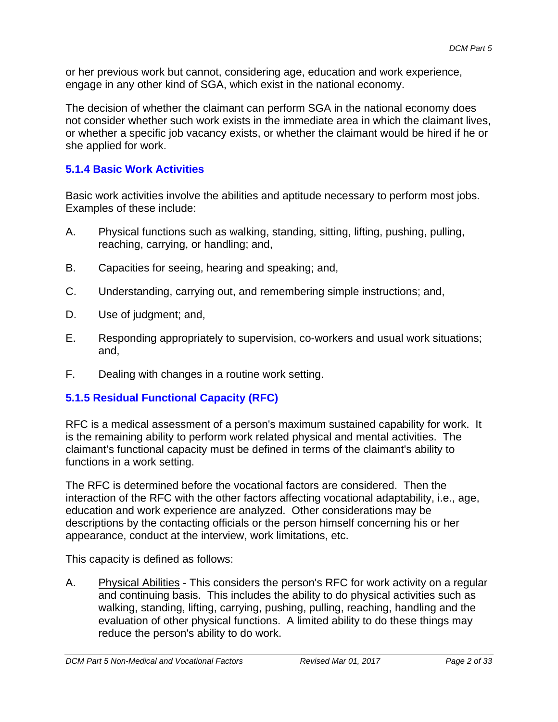or her previous work but cannot, considering age, education and work experience, engage in any other kind of SGA, which exist in the national economy.

The decision of whether the claimant can perform SGA in the national economy does not consider whether such work exists in the immediate area in which the claimant lives, or whether a specific job vacancy exists, or whether the claimant would be hired if he or she applied for work.

## **5.1.4 Basic Work Activities**

Basic work activities involve the abilities and aptitude necessary to perform most jobs. Examples of these include:

- A. Physical functions such as walking, standing, sitting, lifting, pushing, pulling, reaching, carrying, or handling; and,
- B. Capacities for seeing, hearing and speaking; and,
- C. Understanding, carrying out, and remembering simple instructions; and,
- D. Use of judgment; and,
- E. Responding appropriately to supervision, co-workers and usual work situations; and,
- F. Dealing with changes in a routine work setting.

## **5.1.5 Residual Functional Capacity (RFC)**

RFC is a medical assessment of a person's maximum sustained capability for work. It is the remaining ability to perform work related physical and mental activities. The claimant's functional capacity must be defined in terms of the claimant's ability to functions in a work setting.

The RFC is determined before the vocational factors are considered. Then the interaction of the RFC with the other factors affecting vocational adaptability, i.e., age, education and work experience are analyzed. Other considerations may be descriptions by the contacting officials or the person himself concerning his or her appearance, conduct at the interview, work limitations, etc.

This capacity is defined as follows:

A. Physical Abilities - This considers the person's RFC for work activity on a regular and continuing basis. This includes the ability to do physical activities such as walking, standing, lifting, carrying, pushing, pulling, reaching, handling and the evaluation of other physical functions. A limited ability to do these things may reduce the person's ability to do work.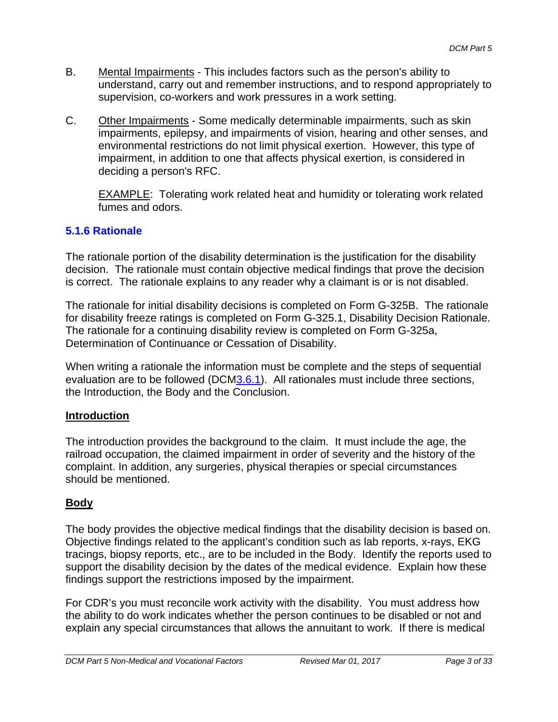- B. Mental Impairments This includes factors such as the person's ability to understand, carry out and remember instructions, and to respond appropriately to supervision, co-workers and work pressures in a work setting.
- C. Other Impairments Some medically determinable impairments, such as skin impairments, epilepsy, and impairments of vision, hearing and other senses, and environmental restrictions do not limit physical exertion. However, this type of impairment, in addition to one that affects physical exertion, is considered in deciding a person's RFC.

**EXAMPLE:** Tolerating work related heat and humidity or tolerating work related fumes and odors.

#### **5.1.6 Rationale**

The rationale portion of the disability determination is the justification for the disability decision. The rationale must contain objective medical findings that prove the decision is correct. The rationale explains to any reader why a claimant is or is not disabled.

The rationale for initial disability decisions is completed on Form G-325B. The rationale for disability freeze ratings is completed on Form G-325.1, Disability Decision Rationale. The rationale for a continuing disability review is completed on Form G-325a, Determination of Continuance or Cessation of Disability.

When writing a rationale the information must be complete and the steps of sequential evaluation are to be followed (DCM3.6.1). All rationales must include three sections, the Introduction, the Body and the Conclusion.

#### **Introduction**

The introduction provides the background to the claim. It must include the age, the railroad occupation, the claimed impairment in order of severity and the history of the complaint. In addition, any surgeries, physical therapies or special circumstances should be mentioned.

## **Body**

The body provides the objective medical findings that the disability decision is based on. Objective findings related to the applicant's condition such as lab reports, x-rays, EKG tracings, biopsy reports, etc., are to be included in the Body. Identify the reports used to support the disability decision by the dates of the medical evidence. Explain how these findings support the restrictions imposed by the impairment.

For CDR's you must reconcile work activity with the disability. You must address how the ability to do work indicates whether the person continues to be disabled or not and explain any special circumstances that allows the annuitant to work. If there is medical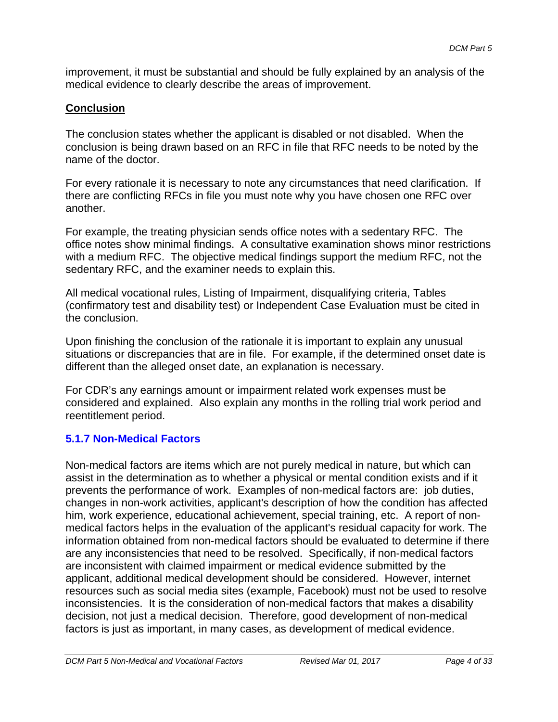improvement, it must be substantial and should be fully explained by an analysis of the medical evidence to clearly describe the areas of improvement.

## **Conclusion**

The conclusion states whether the applicant is disabled or not disabled. When the conclusion is being drawn based on an RFC in file that RFC needs to be noted by the name of the doctor.

For every rationale it is necessary to note any circumstances that need clarification. If there are conflicting RFCs in file you must note why you have chosen one RFC over another.

For example, the treating physician sends office notes with a sedentary RFC. The office notes show minimal findings. A consultative examination shows minor restrictions with a medium RFC. The objective medical findings support the medium RFC, not the sedentary RFC, and the examiner needs to explain this.

All medical vocational rules, Listing of Impairment, disqualifying criteria, Tables (confirmatory test and disability test) or Independent Case Evaluation must be cited in the conclusion.

Upon finishing the conclusion of the rationale it is important to explain any unusual situations or discrepancies that are in file. For example, if the determined onset date is different than the alleged onset date, an explanation is necessary.

For CDR's any earnings amount or impairment related work expenses must be considered and explained. Also explain any months in the rolling trial work period and reentitlement period.

## **5.1.7 Non-Medical Factors**

Non-medical factors are items which are not purely medical in nature, but which can assist in the determination as to whether a physical or mental condition exists and if it prevents the performance of work. Examples of non-medical factors are: job duties, changes in non-work activities, applicant's description of how the condition has affected him, work experience, educational achievement, special training, etc. A report of nonmedical factors helps in the evaluation of the applicant's residual capacity for work. The information obtained from non-medical factors should be evaluated to determine if there are any inconsistencies that need to be resolved. Specifically, if non-medical factors are inconsistent with claimed impairment or medical evidence submitted by the applicant, additional medical development should be considered. However, internet resources such as social media sites (example, Facebook) must not be used to resolve inconsistencies. It is the consideration of non-medical factors that makes a disability decision, not just a medical decision. Therefore, good development of non-medical factors is just as important, in many cases, as development of medical evidence.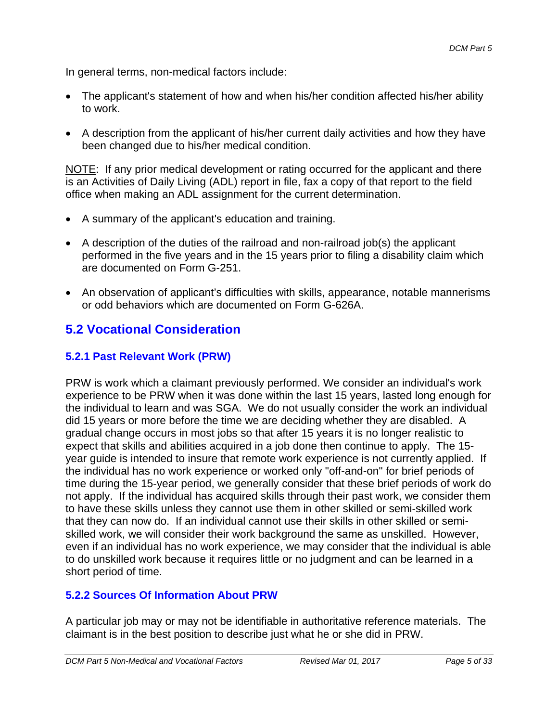In general terms, non-medical factors include:

- The applicant's statement of how and when his/her condition affected his/her ability to work.
- A description from the applicant of his/her current daily activities and how they have been changed due to his/her medical condition.

NOTE: If any prior medical development or rating occurred for the applicant and there is an Activities of Daily Living (ADL) report in file, fax a copy of that report to the field office when making an ADL assignment for the current determination.

- A summary of the applicant's education and training.
- A description of the duties of the railroad and non-railroad job(s) the applicant performed in the five years and in the 15 years prior to filing a disability claim which are documented on Form G-251.
- An observation of applicant's difficulties with skills, appearance, notable mannerisms or odd behaviors which are documented on Form G-626A.

# **5.2 Vocational Consideration**

## **5.2.1 Past Relevant Work (PRW)**

PRW is work which a claimant previously performed. We consider an individual's work experience to be PRW when it was done within the last 15 years, lasted long enough for the individual to learn and was SGA. We do not usually consider the work an individual did 15 years or more before the time we are deciding whether they are disabled. A gradual change occurs in most jobs so that after 15 years it is no longer realistic to expect that skills and abilities acquired in a job done then continue to apply. The 15 year guide is intended to insure that remote work experience is not currently applied. If the individual has no work experience or worked only "off-and-on" for brief periods of time during the 15-year period, we generally consider that these brief periods of work do not apply. If the individual has acquired skills through their past work, we consider them to have these skills unless they cannot use them in other skilled or semi-skilled work that they can now do. If an individual cannot use their skills in other skilled or semiskilled work, we will consider their work background the same as unskilled. However, even if an individual has no work experience, we may consider that the individual is able to do unskilled work because it requires little or no judgment and can be learned in a short period of time.

## **5.2.2 Sources Of Information About PRW**

A particular job may or may not be identifiable in authoritative reference materials. The claimant is in the best position to describe just what he or she did in PRW.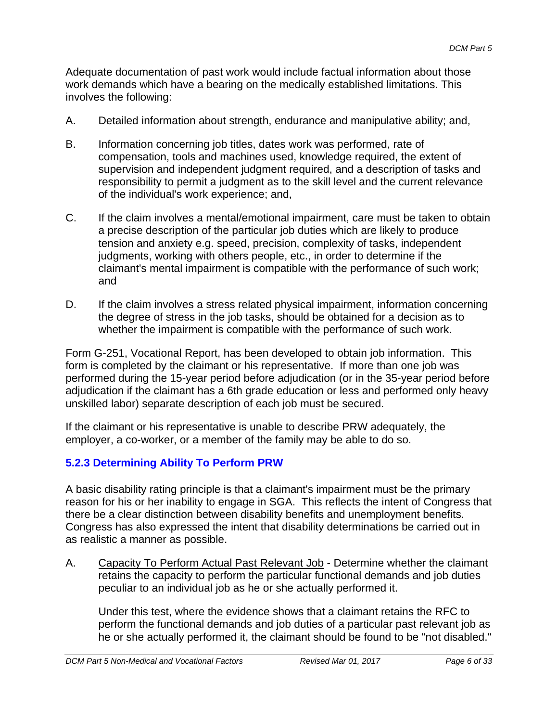Adequate documentation of past work would include factual information about those work demands which have a bearing on the medically established limitations. This involves the following:

- A. Detailed information about strength, endurance and manipulative ability; and,
- B. Information concerning job titles, dates work was performed, rate of compensation, tools and machines used, knowledge required, the extent of supervision and independent judgment required, and a description of tasks and responsibility to permit a judgment as to the skill level and the current relevance of the individual's work experience; and,
- C. If the claim involves a mental/emotional impairment, care must be taken to obtain a precise description of the particular job duties which are likely to produce tension and anxiety e.g. speed, precision, complexity of tasks, independent judgments, working with others people, etc., in order to determine if the claimant's mental impairment is compatible with the performance of such work; and
- D. If the claim involves a stress related physical impairment, information concerning the degree of stress in the job tasks, should be obtained for a decision as to whether the impairment is compatible with the performance of such work.

Form G-251, Vocational Report, has been developed to obtain job information. This form is completed by the claimant or his representative. If more than one job was performed during the 15-year period before adjudication (or in the 35-year period before adjudication if the claimant has a 6th grade education or less and performed only heavy unskilled labor) separate description of each job must be secured.

If the claimant or his representative is unable to describe PRW adequately, the employer, a co-worker, or a member of the family may be able to do so.

## **5.2.3 Determining Ability To Perform PRW**

A basic disability rating principle is that a claimant's impairment must be the primary reason for his or her inability to engage in SGA. This reflects the intent of Congress that there be a clear distinction between disability benefits and unemployment benefits. Congress has also expressed the intent that disability determinations be carried out in as realistic a manner as possible.

A. Capacity To Perform Actual Past Relevant Job - Determine whether the claimant retains the capacity to perform the particular functional demands and job duties peculiar to an individual job as he or she actually performed it.

Under this test, where the evidence shows that a claimant retains the RFC to perform the functional demands and job duties of a particular past relevant job as he or she actually performed it, the claimant should be found to be "not disabled."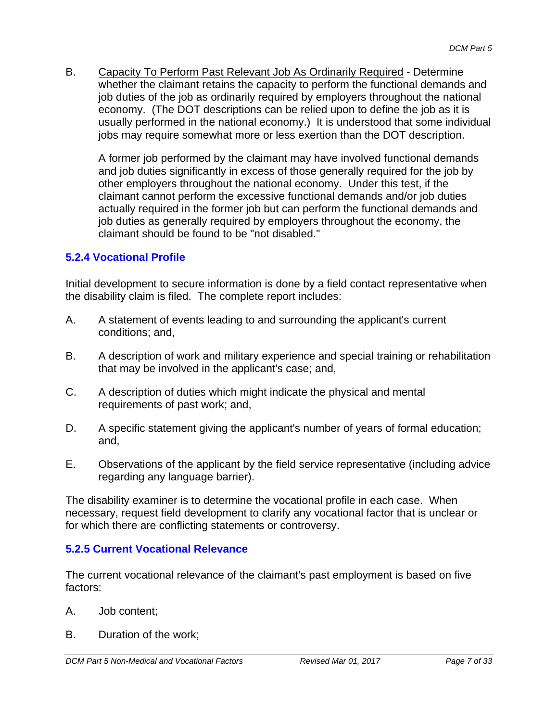B. Capacity To Perform Past Relevant Job As Ordinarily Required - Determine whether the claimant retains the capacity to perform the functional demands and job duties of the job as ordinarily required by employers throughout the national economy. (The DOT descriptions can be relied upon to define the job as it is usually performed in the national economy.) It is understood that some individual jobs may require somewhat more or less exertion than the DOT description.

A former job performed by the claimant may have involved functional demands and job duties significantly in excess of those generally required for the job by other employers throughout the national economy. Under this test, if the claimant cannot perform the excessive functional demands and/or job duties actually required in the former job but can perform the functional demands and job duties as generally required by employers throughout the economy, the claimant should be found to be "not disabled."

#### **5.2.4 Vocational Profile**

Initial development to secure information is done by a field contact representative when the disability claim is filed. The complete report includes:

- A. A statement of events leading to and surrounding the applicant's current conditions; and,
- B. A description of work and military experience and special training or rehabilitation that may be involved in the applicant's case; and,
- C. A description of duties which might indicate the physical and mental requirements of past work; and,
- D. A specific statement giving the applicant's number of years of formal education; and,
- E. Observations of the applicant by the field service representative (including advice regarding any language barrier).

The disability examiner is to determine the vocational profile in each case. When necessary, request field development to clarify any vocational factor that is unclear or for which there are conflicting statements or controversy.

#### **5.2.5 Current Vocational Relevance**

The current vocational relevance of the claimant's past employment is based on five factors:

- A. Job content;
- B. Duration of the work;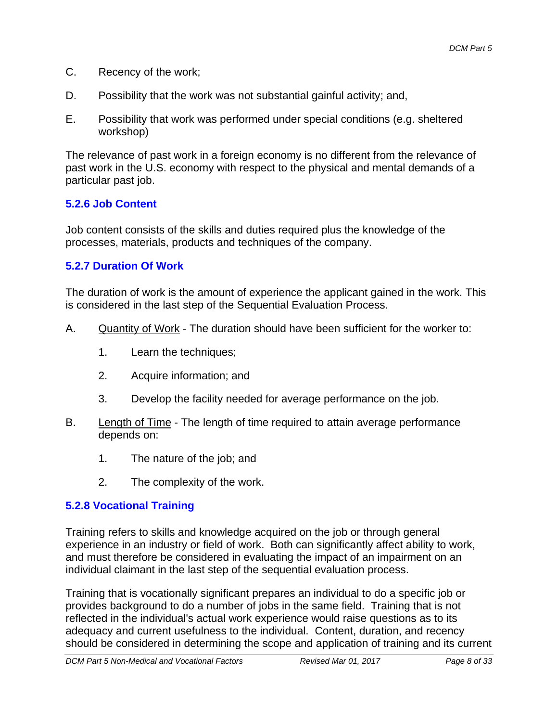- C. Recency of the work;
- D. Possibility that the work was not substantial gainful activity; and,
- E. Possibility that work was performed under special conditions (e.g. sheltered workshop)

The relevance of past work in a foreign economy is no different from the relevance of past work in the U.S. economy with respect to the physical and mental demands of a particular past job.

## **5.2.6 Job Content**

Job content consists of the skills and duties required plus the knowledge of the processes, materials, products and techniques of the company.

#### **5.2.7 Duration Of Work**

The duration of work is the amount of experience the applicant gained in the work. This is considered in the last step of the Sequential Evaluation Process.

- A. Quantity of Work The duration should have been sufficient for the worker to:
	- 1. Learn the techniques;
	- 2. Acquire information; and
	- 3. Develop the facility needed for average performance on the job.
- B. Length of Time The length of time required to attain average performance depends on:
	- 1. The nature of the job; and
	- 2. The complexity of the work.

#### **5.2.8 Vocational Training**

Training refers to skills and knowledge acquired on the job or through general experience in an industry or field of work. Both can significantly affect ability to work, and must therefore be considered in evaluating the impact of an impairment on an individual claimant in the last step of the sequential evaluation process.

Training that is vocationally significant prepares an individual to do a specific job or provides background to do a number of jobs in the same field. Training that is not reflected in the individual's actual work experience would raise questions as to its adequacy and current usefulness to the individual. Content, duration, and recency should be considered in determining the scope and application of training and its current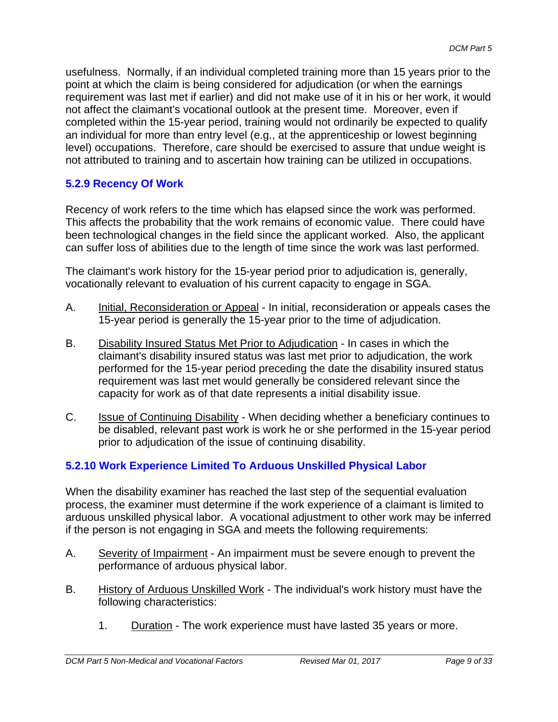usefulness. Normally, if an individual completed training more than 15 years prior to the point at which the claim is being considered for adjudication (or when the earnings requirement was last met if earlier) and did not make use of it in his or her work, it would not affect the claimant's vocational outlook at the present time. Moreover, even if completed within the 15-year period, training would not ordinarily be expected to qualify an individual for more than entry level (e.g., at the apprenticeship or lowest beginning level) occupations. Therefore, care should be exercised to assure that undue weight is not attributed to training and to ascertain how training can be utilized in occupations.

#### **5.2.9 Recency Of Work**

Recency of work refers to the time which has elapsed since the work was performed. This affects the probability that the work remains of economic value. There could have been technological changes in the field since the applicant worked. Also, the applicant can suffer loss of abilities due to the length of time since the work was last performed.

The claimant's work history for the 15-year period prior to adjudication is, generally, vocationally relevant to evaluation of his current capacity to engage in SGA.

- A. Initial, Reconsideration or Appeal In initial, reconsideration or appeals cases the 15-year period is generally the 15-year prior to the time of adjudication.
- B. Disability Insured Status Met Prior to Adjudication In cases in which the claimant's disability insured status was last met prior to adjudication, the work performed for the 15-year period preceding the date the disability insured status requirement was last met would generally be considered relevant since the capacity for work as of that date represents a initial disability issue.
- C. Issue of Continuing Disability When deciding whether a beneficiary continues to be disabled, relevant past work is work he or she performed in the 15-year period prior to adjudication of the issue of continuing disability.

#### **5.2.10 Work Experience Limited To Arduous Unskilled Physical Labor**

When the disability examiner has reached the last step of the sequential evaluation process, the examiner must determine if the work experience of a claimant is limited to arduous unskilled physical labor. A vocational adjustment to other work may be inferred if the person is not engaging in SGA and meets the following requirements:

- A. Severity of Impairment An impairment must be severe enough to prevent the performance of arduous physical labor.
- B. History of Arduous Unskilled Work The individual's work history must have the following characteristics:
	- 1. Duration The work experience must have lasted 35 years or more.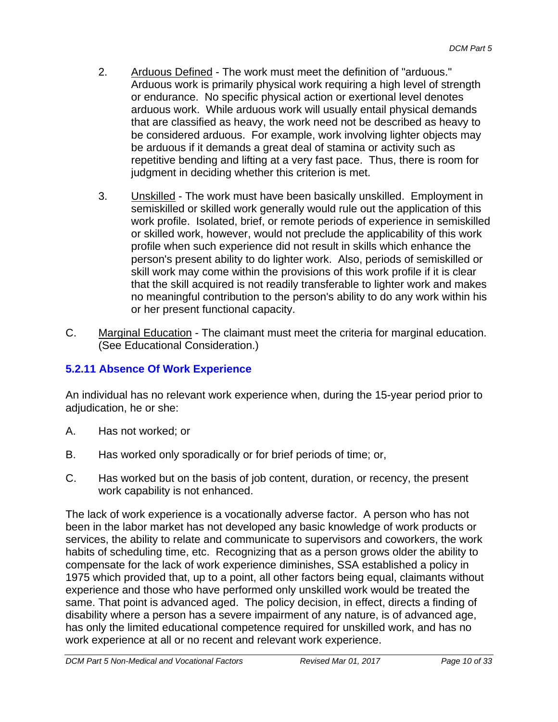- 2. Arduous Defined The work must meet the definition of "arduous." Arduous work is primarily physical work requiring a high level of strength or endurance. No specific physical action or exertional level denotes arduous work. While arduous work will usually entail physical demands that are classified as heavy, the work need not be described as heavy to be considered arduous. For example, work involving lighter objects may be arduous if it demands a great deal of stamina or activity such as repetitive bending and lifting at a very fast pace. Thus, there is room for judgment in deciding whether this criterion is met.
- 3. Unskilled The work must have been basically unskilled. Employment in semiskilled or skilled work generally would rule out the application of this work profile. Isolated, brief, or remote periods of experience in semiskilled or skilled work, however, would not preclude the applicability of this work profile when such experience did not result in skills which enhance the person's present ability to do lighter work. Also, periods of semiskilled or skill work may come within the provisions of this work profile if it is clear that the skill acquired is not readily transferable to lighter work and makes no meaningful contribution to the person's ability to do any work within his or her present functional capacity.
- C. Marginal Education The claimant must meet the criteria for marginal education. (See Educational Consideration.)

## **5.2.11 Absence Of Work Experience**

An individual has no relevant work experience when, during the 15-year period prior to adjudication, he or she:

- A. Has not worked; or
- B. Has worked only sporadically or for brief periods of time; or,
- C. Has worked but on the basis of job content, duration, or recency, the present work capability is not enhanced.

The lack of work experience is a vocationally adverse factor. A person who has not been in the labor market has not developed any basic knowledge of work products or services, the ability to relate and communicate to supervisors and coworkers, the work habits of scheduling time, etc. Recognizing that as a person grows older the ability to compensate for the lack of work experience diminishes, SSA established a policy in 1975 which provided that, up to a point, all other factors being equal, claimants without experience and those who have performed only unskilled work would be treated the same. That point is advanced aged. The policy decision, in effect, directs a finding of disability where a person has a severe impairment of any nature, is of advanced age, has only the limited educational competence required for unskilled work, and has no work experience at all or no recent and relevant work experience.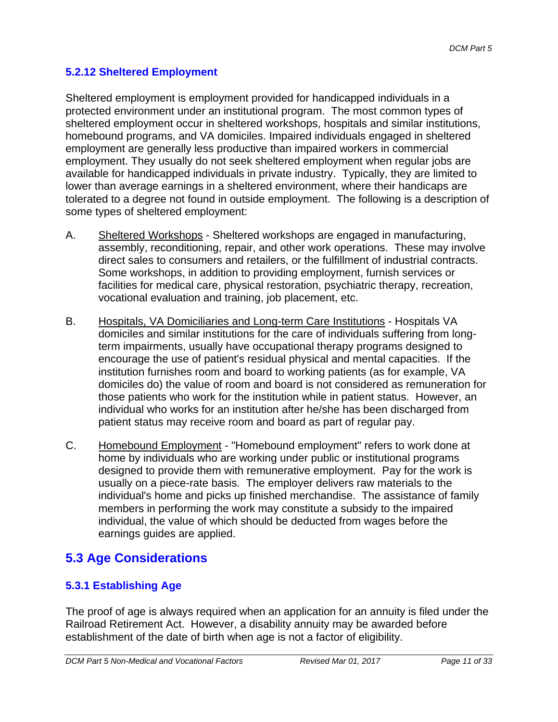#### **5.2.12 Sheltered Employment**

Sheltered employment is employment provided for handicapped individuals in a protected environment under an institutional program. The most common types of sheltered employment occur in sheltered workshops, hospitals and similar institutions, homebound programs, and VA domiciles. Impaired individuals engaged in sheltered employment are generally less productive than impaired workers in commercial employment. They usually do not seek sheltered employment when regular jobs are available for handicapped individuals in private industry. Typically, they are limited to lower than average earnings in a sheltered environment, where their handicaps are tolerated to a degree not found in outside employment. The following is a description of some types of sheltered employment:

- A. Sheltered Workshops Sheltered workshops are engaged in manufacturing, assembly, reconditioning, repair, and other work operations. These may involve direct sales to consumers and retailers, or the fulfillment of industrial contracts. Some workshops, in addition to providing employment, furnish services or facilities for medical care, physical restoration, psychiatric therapy, recreation, vocational evaluation and training, job placement, etc.
- B. Hospitals, VA Domiciliaries and Long-term Care Institutions Hospitals VA domiciles and similar institutions for the care of individuals suffering from longterm impairments, usually have occupational therapy programs designed to encourage the use of patient's residual physical and mental capacities. If the institution furnishes room and board to working patients (as for example, VA domiciles do) the value of room and board is not considered as remuneration for those patients who work for the institution while in patient status. However, an individual who works for an institution after he/she has been discharged from patient status may receive room and board as part of regular pay.
- C. Homebound Employment "Homebound employment" refers to work done at home by individuals who are working under public or institutional programs designed to provide them with remunerative employment. Pay for the work is usually on a piece-rate basis. The employer delivers raw materials to the individual's home and picks up finished merchandise. The assistance of family members in performing the work may constitute a subsidy to the impaired individual, the value of which should be deducted from wages before the earnings guides are applied.

## **5.3 Age Considerations**

## **5.3.1 Establishing Age**

The proof of age is always required when an application for an annuity is filed under the Railroad Retirement Act. However, a disability annuity may be awarded before establishment of the date of birth when age is not a factor of eligibility.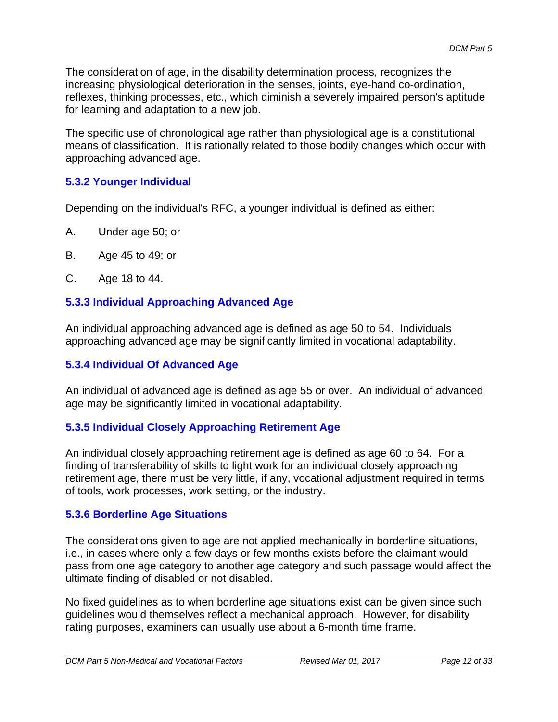The consideration of age, in the disability determination process, recognizes the increasing physiological deterioration in the senses, joints, eye-hand co-ordination, reflexes, thinking processes, etc., which diminish a severely impaired person's aptitude for learning and adaptation to a new job.

The specific use of chronological age rather than physiological age is a constitutional means of classification. It is rationally related to those bodily changes which occur with approaching advanced age.

## **5.3.2 Younger Individual**

Depending on the individual's RFC, a younger individual is defined as either:

- A. Under age 50; or
- B. Age 45 to 49; or
- C. Age 18 to 44.

#### **5.3.3 Individual Approaching Advanced Age**

An individual approaching advanced age is defined as age 50 to 54. Individuals approaching advanced age may be significantly limited in vocational adaptability.

#### **5.3.4 Individual Of Advanced Age**

An individual of advanced age is defined as age 55 or over. An individual of advanced age may be significantly limited in vocational adaptability.

#### **5.3.5 Individual Closely Approaching Retirement Age**

An individual closely approaching retirement age is defined as age 60 to 64. For a finding of transferability of skills to light work for an individual closely approaching retirement age, there must be very little, if any, vocational adjustment required in terms of tools, work processes, work setting, or the industry.

#### **5.3.6 Borderline Age Situations**

The considerations given to age are not applied mechanically in borderline situations, i.e., in cases where only a few days or few months exists before the claimant would pass from one age category to another age category and such passage would affect the ultimate finding of disabled or not disabled.

No fixed guidelines as to when borderline age situations exist can be given since such guidelines would themselves reflect a mechanical approach. However, for disability rating purposes, examiners can usually use about a 6-month time frame.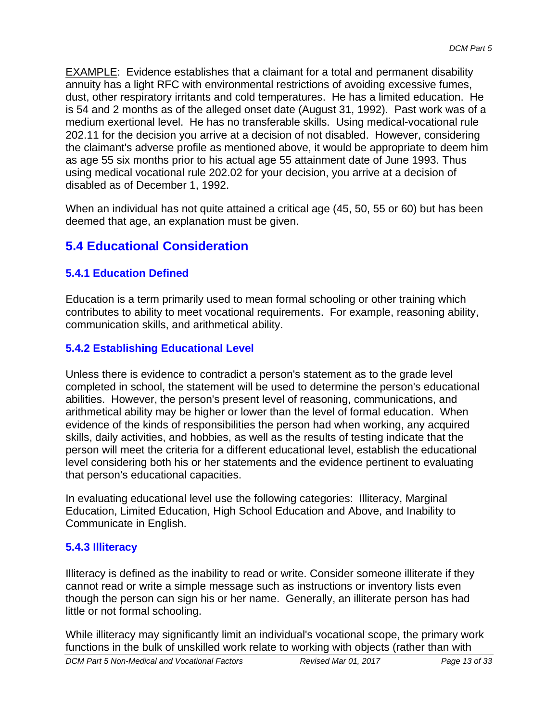EXAMPLE: Evidence establishes that a claimant for a total and permanent disability annuity has a light RFC with environmental restrictions of avoiding excessive fumes, dust, other respiratory irritants and cold temperatures. He has a limited education. He is 54 and 2 months as of the alleged onset date (August 31, 1992). Past work was of a medium exertional level. He has no transferable skills. Using medical-vocational rule 202.11 for the decision you arrive at a decision of not disabled. However, considering the claimant's adverse profile as mentioned above, it would be appropriate to deem him as age 55 six months prior to his actual age 55 attainment date of June 1993. Thus using medical vocational rule 202.02 for your decision, you arrive at a decision of disabled as of December 1, 1992.

When an individual has not quite attained a critical age (45, 50, 55 or 60) but has been deemed that age, an explanation must be given.

## **5.4 Educational Consideration**

## **5.4.1 Education Defined**

Education is a term primarily used to mean formal schooling or other training which contributes to ability to meet vocational requirements. For example, reasoning ability, communication skills, and arithmetical ability.

#### **5.4.2 Establishing Educational Level**

Unless there is evidence to contradict a person's statement as to the grade level completed in school, the statement will be used to determine the person's educational abilities. However, the person's present level of reasoning, communications, and arithmetical ability may be higher or lower than the level of formal education. When evidence of the kinds of responsibilities the person had when working, any acquired skills, daily activities, and hobbies, as well as the results of testing indicate that the person will meet the criteria for a different educational level, establish the educational level considering both his or her statements and the evidence pertinent to evaluating that person's educational capacities.

In evaluating educational level use the following categories: Illiteracy, Marginal Education, Limited Education, High School Education and Above, and Inability to Communicate in English.

#### **5.4.3 Illiteracy**

Illiteracy is defined as the inability to read or write. Consider someone illiterate if they cannot read or write a simple message such as instructions or inventory lists even though the person can sign his or her name. Generally, an illiterate person has had little or not formal schooling.

While illiteracy may significantly limit an individual's vocational scope, the primary work functions in the bulk of unskilled work relate to working with objects (rather than with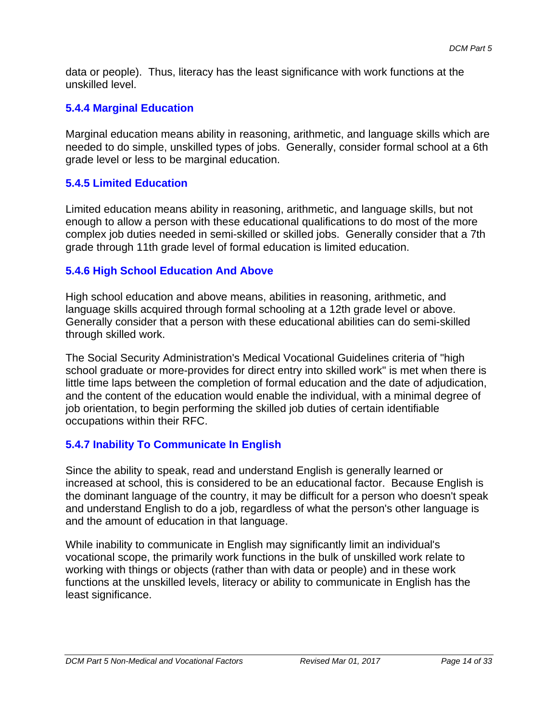data or people). Thus, literacy has the least significance with work functions at the unskilled level.

#### **5.4.4 Marginal Education**

Marginal education means ability in reasoning, arithmetic, and language skills which are needed to do simple, unskilled types of jobs. Generally, consider formal school at a 6th grade level or less to be marginal education.

#### **5.4.5 Limited Education**

Limited education means ability in reasoning, arithmetic, and language skills, but not enough to allow a person with these educational qualifications to do most of the more complex job duties needed in semi-skilled or skilled jobs. Generally consider that a 7th grade through 11th grade level of formal education is limited education.

#### **5.4.6 High School Education And Above**

High school education and above means, abilities in reasoning, arithmetic, and language skills acquired through formal schooling at a 12th grade level or above. Generally consider that a person with these educational abilities can do semi-skilled through skilled work.

The Social Security Administration's Medical Vocational Guidelines criteria of "high school graduate or more-provides for direct entry into skilled work" is met when there is little time laps between the completion of formal education and the date of adjudication, and the content of the education would enable the individual, with a minimal degree of job orientation, to begin performing the skilled job duties of certain identifiable occupations within their RFC.

#### **5.4.7 Inability To Communicate In English**

Since the ability to speak, read and understand English is generally learned or increased at school, this is considered to be an educational factor. Because English is the dominant language of the country, it may be difficult for a person who doesn't speak and understand English to do a job, regardless of what the person's other language is and the amount of education in that language.

While inability to communicate in English may significantly limit an individual's vocational scope, the primarily work functions in the bulk of unskilled work relate to working with things or objects (rather than with data or people) and in these work functions at the unskilled levels, literacy or ability to communicate in English has the least significance.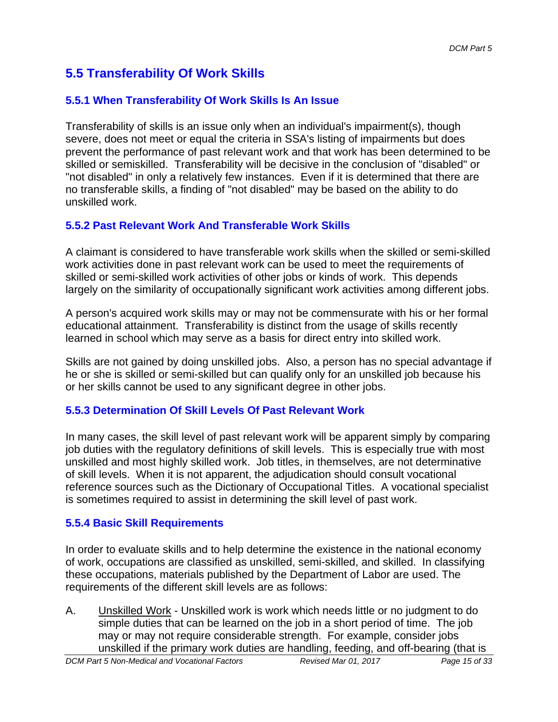# **5.5 Transferability Of Work Skills**

## **5.5.1 When Transferability Of Work Skills Is An Issue**

Transferability of skills is an issue only when an individual's impairment(s), though severe, does not meet or equal the criteria in SSA's listing of impairments but does prevent the performance of past relevant work and that work has been determined to be skilled or semiskilled. Transferability will be decisive in the conclusion of "disabled" or "not disabled" in only a relatively few instances. Even if it is determined that there are no transferable skills, a finding of "not disabled" may be based on the ability to do unskilled work.

## **5.5.2 Past Relevant Work And Transferable Work Skills**

A claimant is considered to have transferable work skills when the skilled or semi-skilled work activities done in past relevant work can be used to meet the requirements of skilled or semi-skilled work activities of other jobs or kinds of work. This depends largely on the similarity of occupationally significant work activities among different jobs.

A person's acquired work skills may or may not be commensurate with his or her formal educational attainment. Transferability is distinct from the usage of skills recently learned in school which may serve as a basis for direct entry into skilled work.

Skills are not gained by doing unskilled jobs. Also, a person has no special advantage if he or she is skilled or semi-skilled but can qualify only for an unskilled job because his or her skills cannot be used to any significant degree in other jobs.

#### **5.5.3 Determination Of Skill Levels Of Past Relevant Work**

In many cases, the skill level of past relevant work will be apparent simply by comparing job duties with the regulatory definitions of skill levels. This is especially true with most unskilled and most highly skilled work. Job titles, in themselves, are not determinative of skill levels. When it is not apparent, the adjudication should consult vocational reference sources such as the Dictionary of Occupational Titles. A vocational specialist is sometimes required to assist in determining the skill level of past work.

#### **5.5.4 Basic Skill Requirements**

In order to evaluate skills and to help determine the existence in the national economy of work, occupations are classified as unskilled, semi-skilled, and skilled. In classifying these occupations, materials published by the Department of Labor are used. The requirements of the different skill levels are as follows:

A. **Unskilled Work** - Unskilled work is work which needs little or no judgment to do simple duties that can be learned on the job in a short period of time. The job may or may not require considerable strength. For example, consider jobs unskilled if the primary work duties are handling, feeding, and off-bearing (that is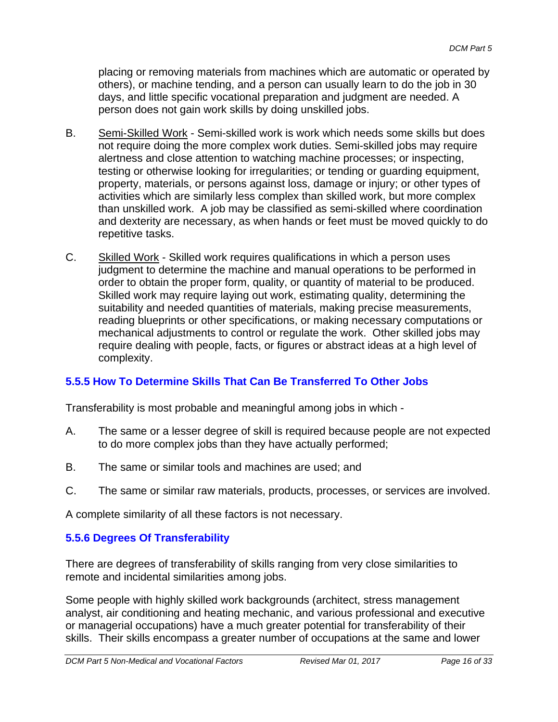placing or removing materials from machines which are automatic or operated by others), or machine tending, and a person can usually learn to do the job in 30 days, and little specific vocational preparation and judgment are needed. A person does not gain work skills by doing unskilled jobs.

- B. Semi-Skilled Work Semi-skilled work is work which needs some skills but does not require doing the more complex work duties. Semi-skilled jobs may require alertness and close attention to watching machine processes; or inspecting, testing or otherwise looking for irregularities; or tending or guarding equipment, property, materials, or persons against loss, damage or injury; or other types of activities which are similarly less complex than skilled work, but more complex than unskilled work. A job may be classified as semi-skilled where coordination and dexterity are necessary, as when hands or feet must be moved quickly to do repetitive tasks.
- C. Skilled Work Skilled work requires qualifications in which a person uses judgment to determine the machine and manual operations to be performed in order to obtain the proper form, quality, or quantity of material to be produced. Skilled work may require laying out work, estimating quality, determining the suitability and needed quantities of materials, making precise measurements, reading blueprints or other specifications, or making necessary computations or mechanical adjustments to control or regulate the work. Other skilled jobs may require dealing with people, facts, or figures or abstract ideas at a high level of complexity.

## **5.5.5 How To Determine Skills That Can Be Transferred To Other Jobs**

Transferability is most probable and meaningful among jobs in which -

- A. The same or a lesser degree of skill is required because people are not expected to do more complex jobs than they have actually performed;
- B. The same or similar tools and machines are used; and
- C. The same or similar raw materials, products, processes, or services are involved.

A complete similarity of all these factors is not necessary.

#### **5.5.6 Degrees Of Transferability**

There are degrees of transferability of skills ranging from very close similarities to remote and incidental similarities among jobs.

Some people with highly skilled work backgrounds (architect, stress management analyst, air conditioning and heating mechanic, and various professional and executive or managerial occupations) have a much greater potential for transferability of their skills. Their skills encompass a greater number of occupations at the same and lower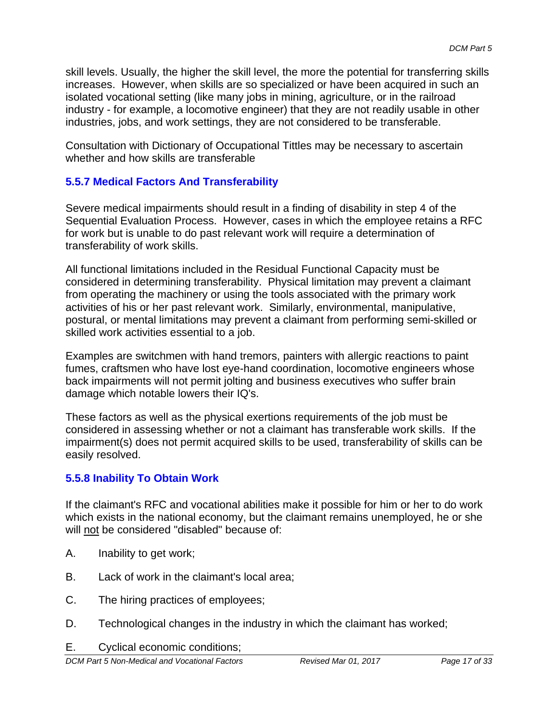skill levels. Usually, the higher the skill level, the more the potential for transferring skills increases. However, when skills are so specialized or have been acquired in such an isolated vocational setting (like many jobs in mining, agriculture, or in the railroad industry - for example, a locomotive engineer) that they are not readily usable in other industries, jobs, and work settings, they are not considered to be transferable.

Consultation with Dictionary of Occupational Tittles may be necessary to ascertain whether and how skills are transferable

#### **5.5.7 Medical Factors And Transferability**

Severe medical impairments should result in a finding of disability in step 4 of the Sequential Evaluation Process. However, cases in which the employee retains a RFC for work but is unable to do past relevant work will require a determination of transferability of work skills.

All functional limitations included in the Residual Functional Capacity must be considered in determining transferability. Physical limitation may prevent a claimant from operating the machinery or using the tools associated with the primary work activities of his or her past relevant work. Similarly, environmental, manipulative, postural, or mental limitations may prevent a claimant from performing semi-skilled or skilled work activities essential to a job.

Examples are switchmen with hand tremors, painters with allergic reactions to paint fumes, craftsmen who have lost eye-hand coordination, locomotive engineers whose back impairments will not permit jolting and business executives who suffer brain damage which notable lowers their IQ's.

These factors as well as the physical exertions requirements of the job must be considered in assessing whether or not a claimant has transferable work skills. If the impairment(s) does not permit acquired skills to be used, transferability of skills can be easily resolved.

#### **5.5.8 Inability To Obtain Work**

If the claimant's RFC and vocational abilities make it possible for him or her to do work which exists in the national economy, but the claimant remains unemployed, he or she will not be considered "disabled" because of:

- A. Inability to get work;
- B. Lack of work in the claimant's local area;
- C. The hiring practices of employees;
- D. Technological changes in the industry in which the claimant has worked;
- E. Cyclical economic conditions;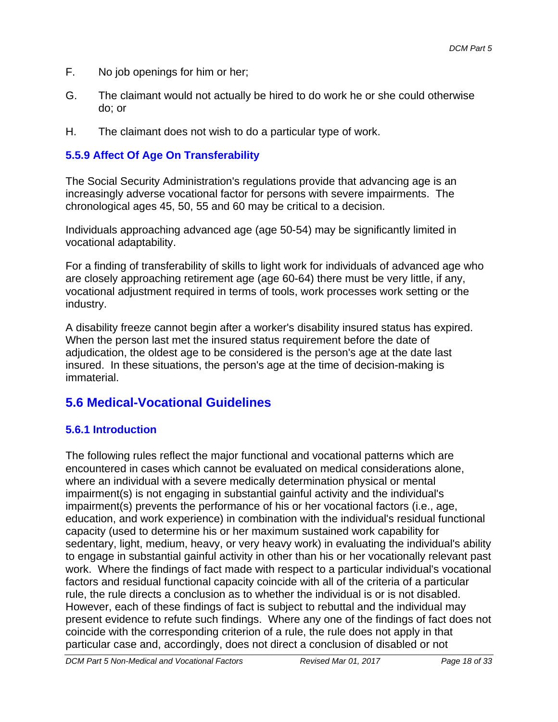- F. No job openings for him or her;
- G. The claimant would not actually be hired to do work he or she could otherwise do; or
- H. The claimant does not wish to do a particular type of work.

## **5.5.9 Affect Of Age On Transferability**

The Social Security Administration's regulations provide that advancing age is an increasingly adverse vocational factor for persons with severe impairments. The chronological ages 45, 50, 55 and 60 may be critical to a decision.

Individuals approaching advanced age (age 50-54) may be significantly limited in vocational adaptability.

For a finding of transferability of skills to light work for individuals of advanced age who are closely approaching retirement age (age 60-64) there must be very little, if any, vocational adjustment required in terms of tools, work processes work setting or the industry.

A disability freeze cannot begin after a worker's disability insured status has expired. When the person last met the insured status requirement before the date of adjudication, the oldest age to be considered is the person's age at the date last insured. In these situations, the person's age at the time of decision-making is immaterial.

## **5.6 Medical-Vocational Guidelines**

## **5.6.1 Introduction**

The following rules reflect the major functional and vocational patterns which are encountered in cases which cannot be evaluated on medical considerations alone, where an individual with a severe medically determination physical or mental impairment(s) is not engaging in substantial gainful activity and the individual's impairment(s) prevents the performance of his or her vocational factors (i.e., age, education, and work experience) in combination with the individual's residual functional capacity (used to determine his or her maximum sustained work capability for sedentary, light, medium, heavy, or very heavy work) in evaluating the individual's ability to engage in substantial gainful activity in other than his or her vocationally relevant past work. Where the findings of fact made with respect to a particular individual's vocational factors and residual functional capacity coincide with all of the criteria of a particular rule, the rule directs a conclusion as to whether the individual is or is not disabled. However, each of these findings of fact is subject to rebuttal and the individual may present evidence to refute such findings. Where any one of the findings of fact does not coincide with the corresponding criterion of a rule, the rule does not apply in that particular case and, accordingly, does not direct a conclusion of disabled or not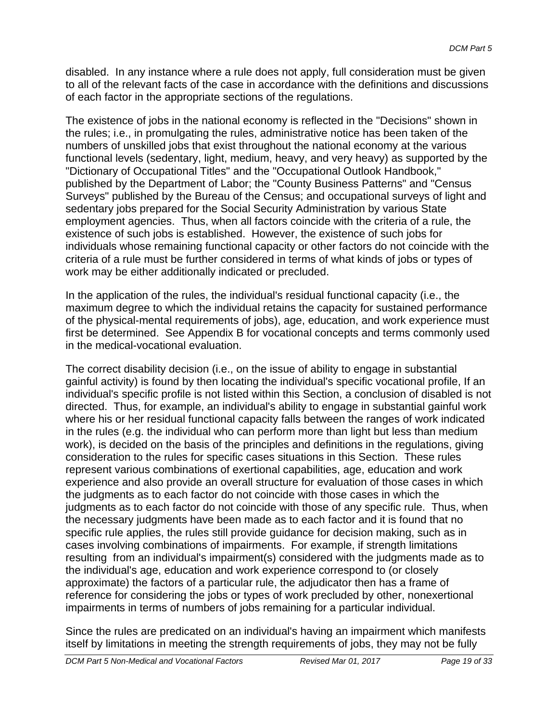disabled. In any instance where a rule does not apply, full consideration must be given to all of the relevant facts of the case in accordance with the definitions and discussions of each factor in the appropriate sections of the regulations.

The existence of jobs in the national economy is reflected in the "Decisions" shown in the rules; i.e., in promulgating the rules, administrative notice has been taken of the numbers of unskilled jobs that exist throughout the national economy at the various functional levels (sedentary, light, medium, heavy, and very heavy) as supported by the "Dictionary of Occupational Titles" and the "Occupational Outlook Handbook," published by the Department of Labor; the "County Business Patterns" and "Census Surveys" published by the Bureau of the Census; and occupational surveys of light and sedentary jobs prepared for the Social Security Administration by various State employment agencies. Thus, when all factors coincide with the criteria of a rule, the existence of such jobs is established. However, the existence of such jobs for individuals whose remaining functional capacity or other factors do not coincide with the criteria of a rule must be further considered in terms of what kinds of jobs or types of work may be either additionally indicated or precluded.

In the application of the rules, the individual's residual functional capacity (i.e., the maximum degree to which the individual retains the capacity for sustained performance of the physical-mental requirements of jobs), age, education, and work experience must first be determined. See Appendix B for vocational concepts and terms commonly used in the medical-vocational evaluation.

The correct disability decision (i.e., on the issue of ability to engage in substantial gainful activity) is found by then locating the individual's specific vocational profile, If an individual's specific profile is not listed within this Section, a conclusion of disabled is not directed. Thus, for example, an individual's ability to engage in substantial gainful work where his or her residual functional capacity falls between the ranges of work indicated in the rules (e.g. the individual who can perform more than light but less than medium work), is decided on the basis of the principles and definitions in the regulations, giving consideration to the rules for specific cases situations in this Section. These rules represent various combinations of exertional capabilities, age, education and work experience and also provide an overall structure for evaluation of those cases in which the judgments as to each factor do not coincide with those cases in which the judgments as to each factor do not coincide with those of any specific rule. Thus, when the necessary judgments have been made as to each factor and it is found that no specific rule applies, the rules still provide guidance for decision making, such as in cases involving combinations of impairments. For example, if strength limitations resulting from an individual's impairment(s) considered with the judgments made as to the individual's age, education and work experience correspond to (or closely approximate) the factors of a particular rule, the adjudicator then has a frame of reference for considering the jobs or types of work precluded by other, nonexertional impairments in terms of numbers of jobs remaining for a particular individual.

Since the rules are predicated on an individual's having an impairment which manifests itself by limitations in meeting the strength requirements of jobs, they may not be fully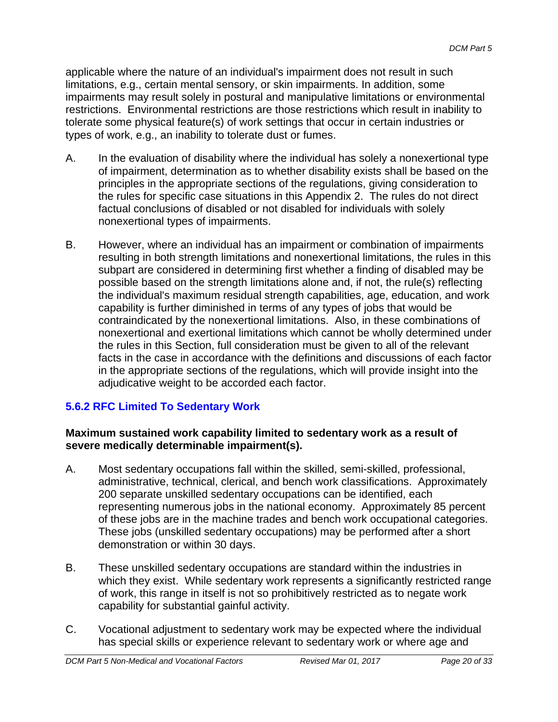applicable where the nature of an individual's impairment does not result in such limitations, e.g., certain mental sensory, or skin impairments. In addition, some impairments may result solely in postural and manipulative limitations or environmental restrictions. Environmental restrictions are those restrictions which result in inability to tolerate some physical feature(s) of work settings that occur in certain industries or types of work, e.g., an inability to tolerate dust or fumes.

- A. In the evaluation of disability where the individual has solely a nonexertional type of impairment, determination as to whether disability exists shall be based on the principles in the appropriate sections of the regulations, giving consideration to the rules for specific case situations in this Appendix 2. The rules do not direct factual conclusions of disabled or not disabled for individuals with solely nonexertional types of impairments.
- B. However, where an individual has an impairment or combination of impairments resulting in both strength limitations and nonexertional limitations, the rules in this subpart are considered in determining first whether a finding of disabled may be possible based on the strength limitations alone and, if not, the rule(s) reflecting the individual's maximum residual strength capabilities, age, education, and work capability is further diminished in terms of any types of jobs that would be contraindicated by the nonexertional limitations. Also, in these combinations of nonexertional and exertional limitations which cannot be wholly determined under the rules in this Section, full consideration must be given to all of the relevant facts in the case in accordance with the definitions and discussions of each factor in the appropriate sections of the regulations, which will provide insight into the adjudicative weight to be accorded each factor.

## **5.6.2 RFC Limited To Sedentary Work**

#### **Maximum sustained work capability limited to sedentary work as a result of severe medically determinable impairment(s).**

- A. Most sedentary occupations fall within the skilled, semi-skilled, professional, administrative, technical, clerical, and bench work classifications. Approximately 200 separate unskilled sedentary occupations can be identified, each representing numerous jobs in the national economy. Approximately 85 percent of these jobs are in the machine trades and bench work occupational categories. These jobs (unskilled sedentary occupations) may be performed after a short demonstration or within 30 days.
- B. These unskilled sedentary occupations are standard within the industries in which they exist. While sedentary work represents a significantly restricted range of work, this range in itself is not so prohibitively restricted as to negate work capability for substantial gainful activity.
- C. Vocational adjustment to sedentary work may be expected where the individual has special skills or experience relevant to sedentary work or where age and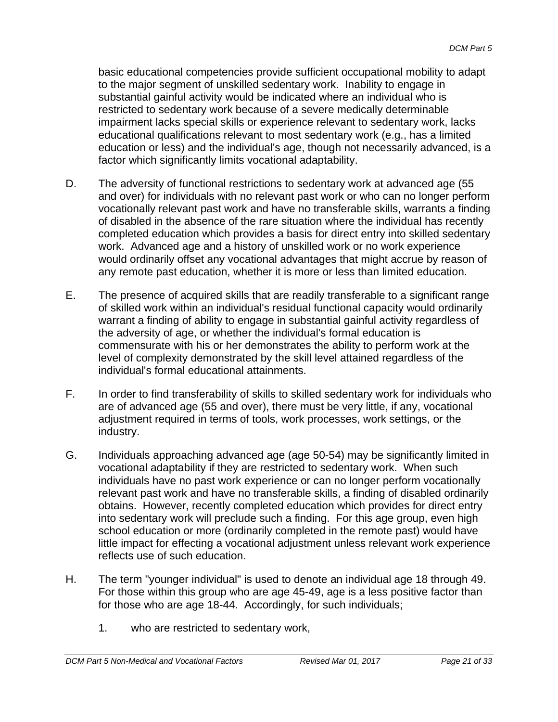basic educational competencies provide sufficient occupational mobility to adapt to the major segment of unskilled sedentary work. Inability to engage in substantial gainful activity would be indicated where an individual who is restricted to sedentary work because of a severe medically determinable impairment lacks special skills or experience relevant to sedentary work, lacks educational qualifications relevant to most sedentary work (e.g., has a limited education or less) and the individual's age, though not necessarily advanced, is a factor which significantly limits vocational adaptability.

- D. The adversity of functional restrictions to sedentary work at advanced age (55 and over) for individuals with no relevant past work or who can no longer perform vocationally relevant past work and have no transferable skills, warrants a finding of disabled in the absence of the rare situation where the individual has recently completed education which provides a basis for direct entry into skilled sedentary work. Advanced age and a history of unskilled work or no work experience would ordinarily offset any vocational advantages that might accrue by reason of any remote past education, whether it is more or less than limited education.
- E. The presence of acquired skills that are readily transferable to a significant range of skilled work within an individual's residual functional capacity would ordinarily warrant a finding of ability to engage in substantial gainful activity regardless of the adversity of age, or whether the individual's formal education is commensurate with his or her demonstrates the ability to perform work at the level of complexity demonstrated by the skill level attained regardless of the individual's formal educational attainments.
- F. In order to find transferability of skills to skilled sedentary work for individuals who are of advanced age (55 and over), there must be very little, if any, vocational adjustment required in terms of tools, work processes, work settings, or the industry.
- G. Individuals approaching advanced age (age 50-54) may be significantly limited in vocational adaptability if they are restricted to sedentary work. When such individuals have no past work experience or can no longer perform vocationally relevant past work and have no transferable skills, a finding of disabled ordinarily obtains. However, recently completed education which provides for direct entry into sedentary work will preclude such a finding. For this age group, even high school education or more (ordinarily completed in the remote past) would have little impact for effecting a vocational adjustment unless relevant work experience reflects use of such education.
- H. The term "younger individual" is used to denote an individual age 18 through 49. For those within this group who are age 45-49, age is a less positive factor than for those who are age 18-44. Accordingly, for such individuals;
	- 1. who are restricted to sedentary work,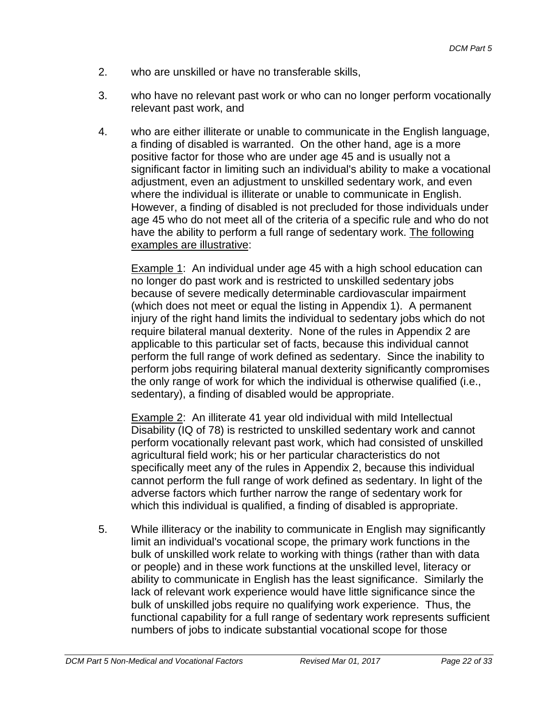- 2. who are unskilled or have no transferable skills,
- 3. who have no relevant past work or who can no longer perform vocationally relevant past work, and
- 4. who are either illiterate or unable to communicate in the English language, a finding of disabled is warranted. On the other hand, age is a more positive factor for those who are under age 45 and is usually not a significant factor in limiting such an individual's ability to make a vocational adjustment, even an adjustment to unskilled sedentary work, and even where the individual is illiterate or unable to communicate in English. However, a finding of disabled is not precluded for those individuals under age 45 who do not meet all of the criteria of a specific rule and who do not have the ability to perform a full range of sedentary work. The following examples are illustrative:

Example 1: An individual under age 45 with a high school education can no longer do past work and is restricted to unskilled sedentary jobs because of severe medically determinable cardiovascular impairment (which does not meet or equal the listing in Appendix 1). A permanent injury of the right hand limits the individual to sedentary jobs which do not require bilateral manual dexterity. None of the rules in Appendix 2 are applicable to this particular set of facts, because this individual cannot perform the full range of work defined as sedentary. Since the inability to perform jobs requiring bilateral manual dexterity significantly compromises the only range of work for which the individual is otherwise qualified (i.e., sedentary), a finding of disabled would be appropriate.

Example 2: An illiterate 41 year old individual with mild Intellectual Disability (IQ of 78) is restricted to unskilled sedentary work and cannot perform vocationally relevant past work, which had consisted of unskilled agricultural field work; his or her particular characteristics do not specifically meet any of the rules in Appendix 2, because this individual cannot perform the full range of work defined as sedentary. In light of the adverse factors which further narrow the range of sedentary work for which this individual is qualified, a finding of disabled is appropriate.

5. While illiteracy or the inability to communicate in English may significantly limit an individual's vocational scope, the primary work functions in the bulk of unskilled work relate to working with things (rather than with data or people) and in these work functions at the unskilled level, literacy or ability to communicate in English has the least significance. Similarly the lack of relevant work experience would have little significance since the bulk of unskilled jobs require no qualifying work experience. Thus, the functional capability for a full range of sedentary work represents sufficient numbers of jobs to indicate substantial vocational scope for those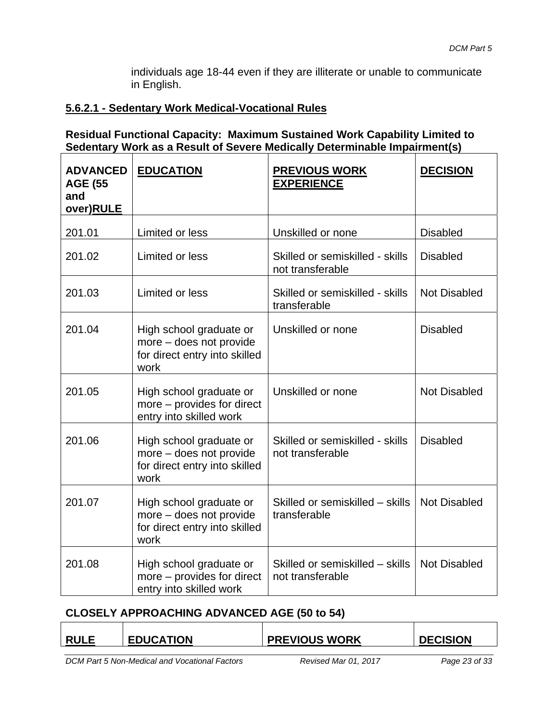individuals age 18-44 even if they are illiterate or unable to communicate in English.

#### **5.6.2.1 - Sedentary Work Medical-Vocational Rules**

#### **Residual Functional Capacity: Maximum Sustained Work Capability Limited to Sedentary Work as a Result of Severe Medically Determinable Impairment(s)**

| <b>ADVANCED</b><br><b>AGE (55</b><br>and<br>over)RULE | <b>EDUCATION</b>                                                                            | <b>PREVIOUS WORK</b><br><b>EXPERIENCE</b>           | <b>DECISION</b>     |
|-------------------------------------------------------|---------------------------------------------------------------------------------------------|-----------------------------------------------------|---------------------|
| 201.01                                                | Limited or less                                                                             | Unskilled or none                                   | <b>Disabled</b>     |
| 201.02                                                | Limited or less                                                                             | Skilled or semiskilled - skills<br>not transferable | <b>Disabled</b>     |
| 201.03                                                | Limited or less                                                                             | Skilled or semiskilled - skills<br>transferable     | <b>Not Disabled</b> |
| 201.04                                                | High school graduate or<br>more - does not provide<br>for direct entry into skilled<br>work | Unskilled or none                                   | <b>Disabled</b>     |
| 201.05                                                | High school graduate or<br>more – provides for direct<br>entry into skilled work            | Unskilled or none                                   | <b>Not Disabled</b> |
| 201.06                                                | High school graduate or<br>more - does not provide<br>for direct entry into skilled<br>work | Skilled or semiskilled - skills<br>not transferable | <b>Disabled</b>     |
| 201.07                                                | High school graduate or<br>more - does not provide<br>for direct entry into skilled<br>work | Skilled or semiskilled - skills<br>transferable     | Not Disabled        |
| 201.08                                                | High school graduate or<br>more – provides for direct<br>entry into skilled work            | Skilled or semiskilled - skills<br>not transferable | <b>Not Disabled</b> |

## **CLOSELY APPROACHING ADVANCED AGE (50 to 54)**

| <b>RULE</b> | <b>EDUCATION</b> | <b>PREVIOUS WORK</b> | <b>DECISION</b> |
|-------------|------------------|----------------------|-----------------|
|             |                  |                      |                 |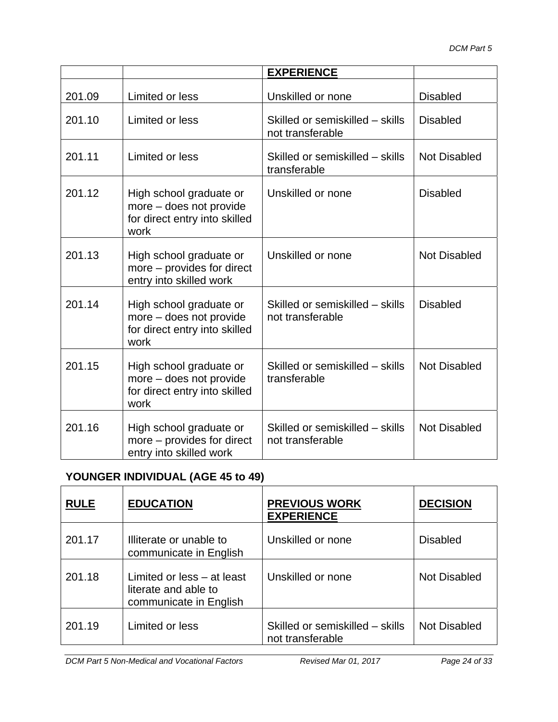|        |                                                                                             | <b>EXPERIENCE</b>                                   |                     |
|--------|---------------------------------------------------------------------------------------------|-----------------------------------------------------|---------------------|
| 201.09 | Limited or less                                                                             | Unskilled or none                                   | <b>Disabled</b>     |
| 201.10 | Limited or less                                                                             | Skilled or semiskilled – skills<br>not transferable | <b>Disabled</b>     |
| 201.11 | Limited or less                                                                             | Skilled or semiskilled – skills<br>transferable     | <b>Not Disabled</b> |
| 201.12 | High school graduate or<br>more - does not provide<br>for direct entry into skilled<br>work | Unskilled or none                                   | <b>Disabled</b>     |
| 201.13 | High school graduate or<br>more – provides for direct<br>entry into skilled work            | Unskilled or none                                   | Not Disabled        |
| 201.14 | High school graduate or<br>more - does not provide<br>for direct entry into skilled<br>work | Skilled or semiskilled – skills<br>not transferable | <b>Disabled</b>     |
| 201.15 | High school graduate or<br>more - does not provide<br>for direct entry into skilled<br>work | Skilled or semiskilled – skills<br>transferable     | Not Disabled        |
| 201.16 | High school graduate or<br>more – provides for direct<br>entry into skilled work            | Skilled or semiskilled – skills<br>not transferable | <b>Not Disabled</b> |

## **YOUNGER INDIVIDUAL (AGE 45 to 49)**

| <b>RULE</b> | <b>EDUCATION</b>                                                             | <b>PREVIOUS WORK</b><br><b>EXPERIENCE</b>           | <b>DECISION</b>     |
|-------------|------------------------------------------------------------------------------|-----------------------------------------------------|---------------------|
| 201.17      | Illiterate or unable to<br>communicate in English                            | Unskilled or none                                   | <b>Disabled</b>     |
| 201.18      | Limited or less - at least<br>literate and able to<br>communicate in English | Unskilled or none                                   | <b>Not Disabled</b> |
| 201.19      | Limited or less                                                              | Skilled or semiskilled – skills<br>not transferable | Not Disabled        |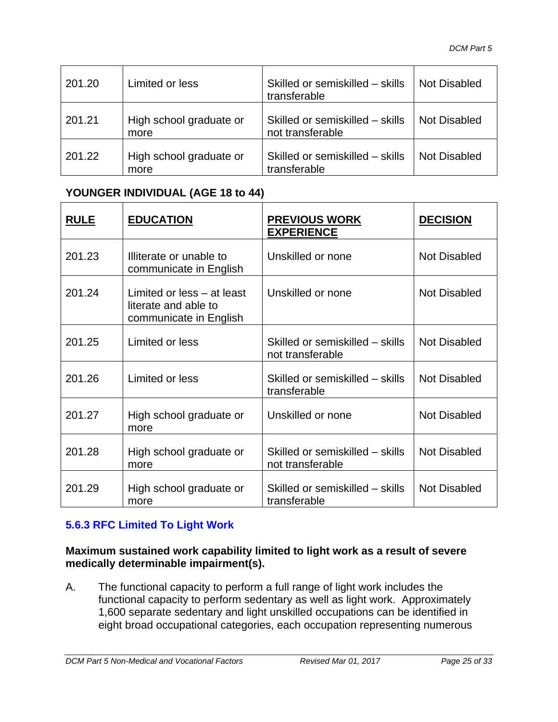| 201.20 | Limited or less                 | Skilled or semiskilled - skills<br>transferable     | <b>Not Disabled</b> |
|--------|---------------------------------|-----------------------------------------------------|---------------------|
| 201.21 | High school graduate or<br>more | Skilled or semiskilled - skills<br>not transferable | Not Disabled        |
| 201.22 | High school graduate or<br>more | Skilled or semiskilled - skills<br>transferable     | <b>Not Disabled</b> |

#### **YOUNGER INDIVIDUAL (AGE 18 to 44)**

| <b>RULE</b> | <b>EDUCATION</b>                                                             | <b>PREVIOUS WORK</b><br><b>EXPERIENCE</b>           | <b>DECISION</b>     |
|-------------|------------------------------------------------------------------------------|-----------------------------------------------------|---------------------|
| 201.23      | Illiterate or unable to<br>communicate in English                            | Unskilled or none                                   | Not Disabled        |
| 201.24      | Limited or less - at least<br>literate and able to<br>communicate in English | Unskilled or none                                   | <b>Not Disabled</b> |
| 201.25      | Limited or less                                                              | Skilled or semiskilled - skills<br>not transferable | <b>Not Disabled</b> |
| 201.26      | Limited or less                                                              | Skilled or semiskilled – skills<br>transferable     | <b>Not Disabled</b> |
| 201.27      | High school graduate or<br>more                                              | Unskilled or none                                   | <b>Not Disabled</b> |
| 201.28      | High school graduate or<br>more                                              | Skilled or semiskilled – skills<br>not transferable | <b>Not Disabled</b> |
| 201.29      | High school graduate or<br>more                                              | Skilled or semiskilled - skills<br>transferable     | <b>Not Disabled</b> |

#### **5.6.3 RFC Limited To Light Work**

#### **Maximum sustained work capability limited to light work as a result of severe medically determinable impairment(s).**

A. The functional capacity to perform a full range of light work includes the functional capacity to perform sedentary as well as light work. Approximately 1,600 separate sedentary and light unskilled occupations can be identified in eight broad occupational categories, each occupation representing numerous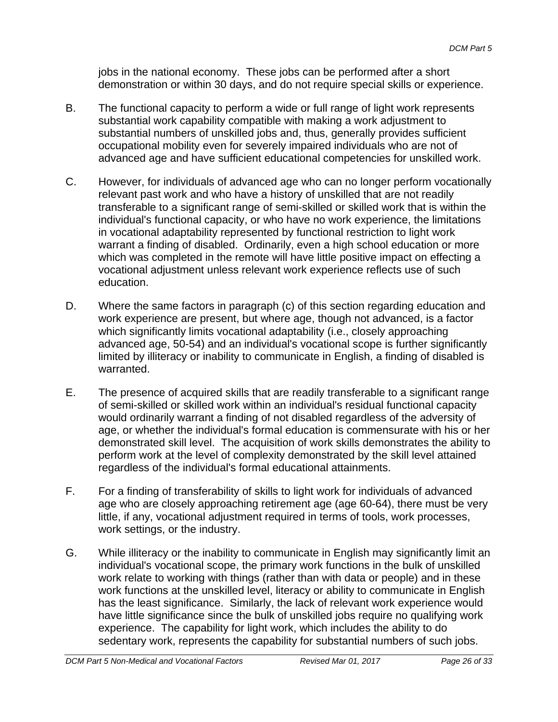jobs in the national economy. These jobs can be performed after a short demonstration or within 30 days, and do not require special skills or experience.

- B. The functional capacity to perform a wide or full range of light work represents substantial work capability compatible with making a work adjustment to substantial numbers of unskilled jobs and, thus, generally provides sufficient occupational mobility even for severely impaired individuals who are not of advanced age and have sufficient educational competencies for unskilled work.
- C. However, for individuals of advanced age who can no longer perform vocationally relevant past work and who have a history of unskilled that are not readily transferable to a significant range of semi-skilled or skilled work that is within the individual's functional capacity, or who have no work experience, the limitations in vocational adaptability represented by functional restriction to light work warrant a finding of disabled. Ordinarily, even a high school education or more which was completed in the remote will have little positive impact on effecting a vocational adjustment unless relevant work experience reflects use of such education.
- D. Where the same factors in paragraph (c) of this section regarding education and work experience are present, but where age, though not advanced, is a factor which significantly limits vocational adaptability (i.e., closely approaching advanced age, 50-54) and an individual's vocational scope is further significantly limited by illiteracy or inability to communicate in English, a finding of disabled is warranted.
- E. The presence of acquired skills that are readily transferable to a significant range of semi-skilled or skilled work within an individual's residual functional capacity would ordinarily warrant a finding of not disabled regardless of the adversity of age, or whether the individual's formal education is commensurate with his or her demonstrated skill level. The acquisition of work skills demonstrates the ability to perform work at the level of complexity demonstrated by the skill level attained regardless of the individual's formal educational attainments.
- F. For a finding of transferability of skills to light work for individuals of advanced age who are closely approaching retirement age (age 60-64), there must be very little, if any, vocational adjustment required in terms of tools, work processes, work settings, or the industry.
- G. While illiteracy or the inability to communicate in English may significantly limit an individual's vocational scope, the primary work functions in the bulk of unskilled work relate to working with things (rather than with data or people) and in these work functions at the unskilled level, literacy or ability to communicate in English has the least significance. Similarly, the lack of relevant work experience would have little significance since the bulk of unskilled jobs require no qualifying work experience. The capability for light work, which includes the ability to do sedentary work, represents the capability for substantial numbers of such jobs.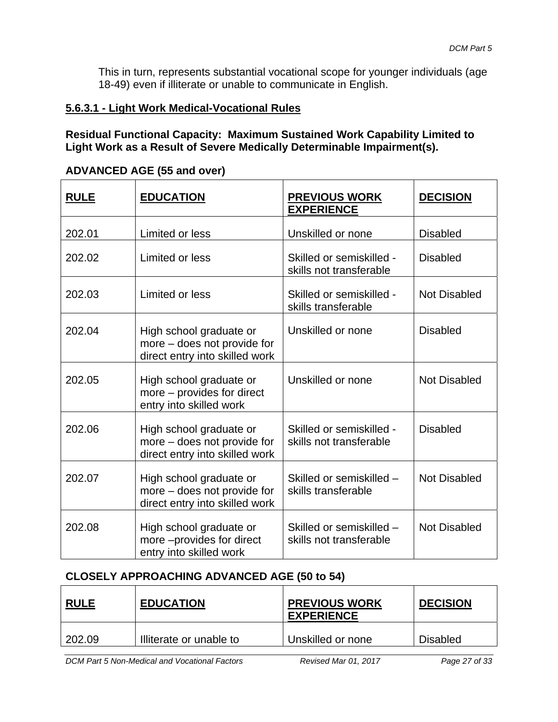This in turn, represents substantial vocational scope for younger individuals (age 18-49) even if illiterate or unable to communicate in English.

#### **5.6.3.1 - Light Work Medical-Vocational Rules**

#### **Residual Functional Capacity: Maximum Sustained Work Capability Limited to Light Work as a Result of Severe Medically Determinable Impairment(s).**

| <b>RULE</b> | <b>EDUCATION</b>                                                                         | <b>PREVIOUS WORK</b><br><b>EXPERIENCE</b>           | <b>DECISION</b>     |
|-------------|------------------------------------------------------------------------------------------|-----------------------------------------------------|---------------------|
| 202.01      | Limited or less                                                                          | Unskilled or none                                   | <b>Disabled</b>     |
| 202.02      | Limited or less                                                                          | Skilled or semiskilled -<br>skills not transferable | <b>Disabled</b>     |
| 202.03      | Limited or less                                                                          | Skilled or semiskilled -<br>skills transferable     | <b>Not Disabled</b> |
| 202.04      | High school graduate or<br>more - does not provide for<br>direct entry into skilled work | Unskilled or none                                   | <b>Disabled</b>     |
| 202.05      | High school graduate or<br>more - provides for direct<br>entry into skilled work         | Unskilled or none                                   | <b>Not Disabled</b> |
| 202.06      | High school graduate or<br>more - does not provide for<br>direct entry into skilled work | Skilled or semiskilled -<br>skills not transferable | <b>Disabled</b>     |
| 202.07      | High school graduate or<br>more - does not provide for<br>direct entry into skilled work | Skilled or semiskilled -<br>skills transferable     | <b>Not Disabled</b> |
| 202.08      | High school graduate or<br>more -provides for direct<br>entry into skilled work          | Skilled or semiskilled -<br>skills not transferable | <b>Not Disabled</b> |

#### **ADVANCED AGE (55 and over)**

#### **CLOSELY APPROACHING ADVANCED AGE (50 to 54)**

| <u>RULE</u> | <b>EDUCATION</b>        | <b>PREVIOUS WORK</b><br><b>EXPERIENCE</b> | <b>DECISION</b> |
|-------------|-------------------------|-------------------------------------------|-----------------|
| 202.09      | Illiterate or unable to | Unskilled or none                         | <b>Disabled</b> |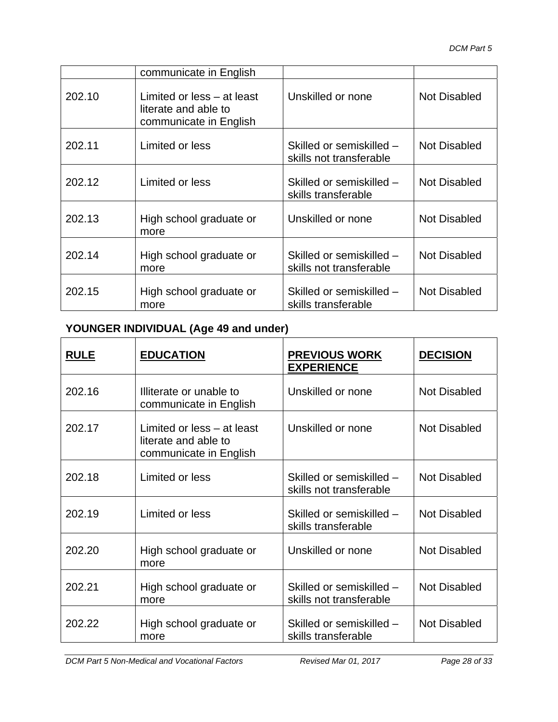|        | communicate in English                                                       |                                                     |                     |
|--------|------------------------------------------------------------------------------|-----------------------------------------------------|---------------------|
| 202.10 | Limited or less – at least<br>literate and able to<br>communicate in English | Unskilled or none                                   | Not Disabled        |
| 202.11 | Limited or less                                                              | Skilled or semiskilled -<br>skills not transferable | <b>Not Disabled</b> |
| 202.12 | Limited or less                                                              | Skilled or semiskilled -<br>skills transferable     | <b>Not Disabled</b> |
| 202.13 | High school graduate or<br>more                                              | Unskilled or none                                   | <b>Not Disabled</b> |
| 202.14 | High school graduate or<br>more                                              | Skilled or semiskilled -<br>skills not transferable | Not Disabled        |
| 202.15 | High school graduate or<br>more                                              | Skilled or semiskilled -<br>skills transferable     | <b>Not Disabled</b> |

# **YOUNGER INDIVIDUAL (Age 49 and under)**

| <b>RULE</b> | <b>EDUCATION</b>                                                             | <b>PREVIOUS WORK</b><br><b>EXPERIENCE</b>           | <b>DECISION</b>     |
|-------------|------------------------------------------------------------------------------|-----------------------------------------------------|---------------------|
| 202.16      | Illiterate or unable to<br>communicate in English                            | Unskilled or none                                   | <b>Not Disabled</b> |
| 202.17      | Limited or less – at least<br>literate and able to<br>communicate in English | Unskilled or none                                   | Not Disabled        |
| 202.18      | Limited or less                                                              | Skilled or semiskilled -<br>skills not transferable | <b>Not Disabled</b> |
| 202.19      | Limited or less                                                              | Skilled or semiskilled -<br>skills transferable     | <b>Not Disabled</b> |
| 202.20      | High school graduate or<br>more                                              | Unskilled or none                                   | Not Disabled        |
| 202.21      | High school graduate or<br>more                                              | Skilled or semiskilled -<br>skills not transferable | <b>Not Disabled</b> |
| 202.22      | High school graduate or<br>more                                              | Skilled or semiskilled -<br>skills transferable     | <b>Not Disabled</b> |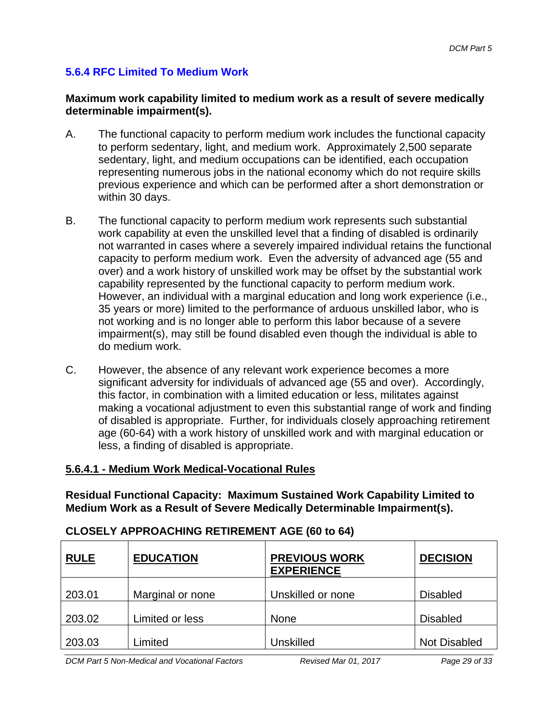## **5.6.4 RFC Limited To Medium Work**

#### **Maximum work capability limited to medium work as a result of severe medically determinable impairment(s).**

- A. The functional capacity to perform medium work includes the functional capacity to perform sedentary, light, and medium work. Approximately 2,500 separate sedentary, light, and medium occupations can be identified, each occupation representing numerous jobs in the national economy which do not require skills previous experience and which can be performed after a short demonstration or within 30 days.
- B. The functional capacity to perform medium work represents such substantial work capability at even the unskilled level that a finding of disabled is ordinarily not warranted in cases where a severely impaired individual retains the functional capacity to perform medium work. Even the adversity of advanced age (55 and over) and a work history of unskilled work may be offset by the substantial work capability represented by the functional capacity to perform medium work. However, an individual with a marginal education and long work experience (i.e., 35 years or more) limited to the performance of arduous unskilled labor, who is not working and is no longer able to perform this labor because of a severe impairment(s), may still be found disabled even though the individual is able to do medium work.
- C. However, the absence of any relevant work experience becomes a more significant adversity for individuals of advanced age (55 and over). Accordingly, this factor, in combination with a limited education or less, militates against making a vocational adjustment to even this substantial range of work and finding of disabled is appropriate. Further, for individuals closely approaching retirement age (60-64) with a work history of unskilled work and with marginal education or less, a finding of disabled is appropriate.

#### **5.6.4.1 - Medium Work Medical-Vocational Rules**

**Residual Functional Capacity: Maximum Sustained Work Capability Limited to Medium Work as a Result of Severe Medically Determinable Impairment(s).** 

| <b>RULE</b> | <b>EDUCATION</b> | <b>PREVIOUS WORK</b><br><b>EXPERIENCE</b> | <b>DECISION</b>     |
|-------------|------------------|-------------------------------------------|---------------------|
| 203.01      | Marginal or none | Unskilled or none                         | <b>Disabled</b>     |
| 203.02      | Limited or less  | <b>None</b>                               | <b>Disabled</b>     |
| 203.03      | Limited          | Unskilled                                 | <b>Not Disabled</b> |

#### **CLOSELY APPROACHING RETIREMENT AGE (60 to 64)**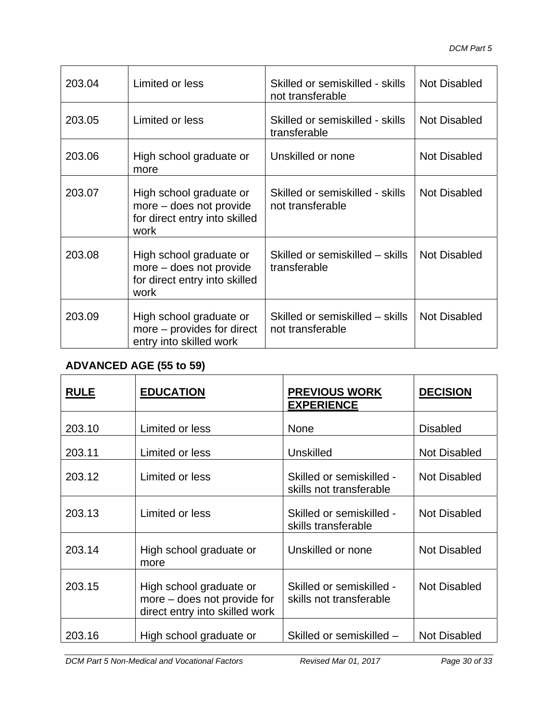| 203.04 | Limited or less                                                                             | Skilled or semiskilled - skills<br>not transferable | Not Disabled        |
|--------|---------------------------------------------------------------------------------------------|-----------------------------------------------------|---------------------|
| 203.05 | Limited or less                                                                             | Skilled or semiskilled - skills<br>transferable     | Not Disabled        |
| 203.06 | High school graduate or<br>more                                                             | Unskilled or none                                   | Not Disabled        |
| 203.07 | High school graduate or<br>more – does not provide<br>for direct entry into skilled<br>work | Skilled or semiskilled - skills<br>not transferable | Not Disabled        |
| 203.08 | High school graduate or<br>more – does not provide<br>for direct entry into skilled<br>work | Skilled or semiskilled – skills<br>transferable     | <b>Not Disabled</b> |
| 203.09 | High school graduate or<br>more – provides for direct<br>entry into skilled work            | Skilled or semiskilled – skills<br>not transferable | <b>Not Disabled</b> |

# **ADVANCED AGE (55 to 59)**

| <b>RULE</b> | <b>EDUCATION</b>                                                                         | <b>PREVIOUS WORK</b><br><b>EXPERIENCE</b>           | <b>DECISION</b>     |
|-------------|------------------------------------------------------------------------------------------|-----------------------------------------------------|---------------------|
| 203.10      | Limited or less                                                                          | None                                                | <b>Disabled</b>     |
| 203.11      | Limited or less                                                                          | Unskilled                                           | <b>Not Disabled</b> |
| 203.12      | Limited or less                                                                          | Skilled or semiskilled -<br>skills not transferable | Not Disabled        |
| 203.13      | Limited or less                                                                          | Skilled or semiskilled -<br>skills transferable     | <b>Not Disabled</b> |
| 203.14      | High school graduate or<br>more                                                          | Unskilled or none                                   | Not Disabled        |
| 203.15      | High school graduate or<br>more - does not provide for<br>direct entry into skilled work | Skilled or semiskilled -<br>skills not transferable | Not Disabled        |
| 203.16      | High school graduate or                                                                  | Skilled or semiskilled -                            | <b>Not Disabled</b> |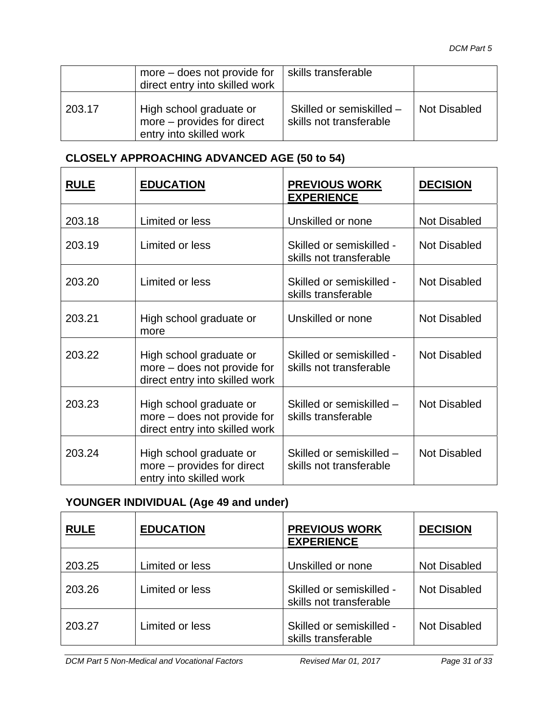|        | $more - does not provide for$<br>direct entry into skilled work                  | skills transferable                                 |              |
|--------|----------------------------------------------------------------------------------|-----------------------------------------------------|--------------|
| 203.17 | High school graduate or<br>more – provides for direct<br>entry into skilled work | Skilled or semiskilled -<br>skills not transferable | Not Disabled |

## **CLOSELY APPROACHING ADVANCED AGE (50 to 54)**

| <b>RULE</b> | <b>EDUCATION</b>                                                                         | <b>PREVIOUS WORK</b><br><b>EXPERIENCE</b>           | <b>DECISION</b>     |
|-------------|------------------------------------------------------------------------------------------|-----------------------------------------------------|---------------------|
| 203.18      | Limited or less                                                                          | Unskilled or none                                   | <b>Not Disabled</b> |
| 203.19      | Limited or less                                                                          | Skilled or semiskilled -<br>skills not transferable | <b>Not Disabled</b> |
| 203.20      | Limited or less                                                                          | Skilled or semiskilled -<br>skills transferable     | <b>Not Disabled</b> |
| 203.21      | High school graduate or<br>more                                                          | Unskilled or none                                   | Not Disabled        |
| 203.22      | High school graduate or<br>more - does not provide for<br>direct entry into skilled work | Skilled or semiskilled -<br>skills not transferable | Not Disabled        |
| 203.23      | High school graduate or<br>more – does not provide for<br>direct entry into skilled work | Skilled or semiskilled -<br>skills transferable     | <b>Not Disabled</b> |
| 203.24      | High school graduate or<br>more - provides for direct<br>entry into skilled work         | Skilled or semiskilled -<br>skills not transferable | <b>Not Disabled</b> |

## **YOUNGER INDIVIDUAL (Age 49 and under)**

| <b>RULE</b> | <b>EDUCATION</b> | <b>PREVIOUS WORK</b><br><b>EXPERIENCE</b>           | <b>DECISION</b>     |
|-------------|------------------|-----------------------------------------------------|---------------------|
| 203.25      | Limited or less  | Unskilled or none                                   | <b>Not Disabled</b> |
| 203.26      | Limited or less  | Skilled or semiskilled -<br>skills not transferable | <b>Not Disabled</b> |
| 203.27      | Limited or less  | Skilled or semiskilled -<br>skills transferable     | <b>Not Disabled</b> |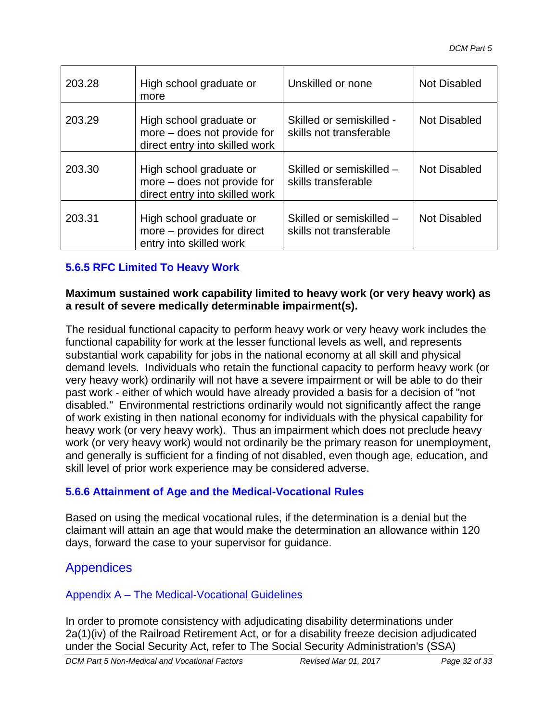| 203.28 | High school graduate or<br>more                                                          | Unskilled or none                                   | <b>Not Disabled</b> |
|--------|------------------------------------------------------------------------------------------|-----------------------------------------------------|---------------------|
| 203.29 | High school graduate or<br>more - does not provide for<br>direct entry into skilled work | Skilled or semiskilled -<br>skills not transferable | Not Disabled        |
| 203.30 | High school graduate or<br>more - does not provide for<br>direct entry into skilled work | Skilled or semiskilled -<br>skills transferable     | Not Disabled        |
| 203.31 | High school graduate or<br>more - provides for direct<br>entry into skilled work         | Skilled or semiskilled -<br>skills not transferable | Not Disabled        |

#### **5.6.5 RFC Limited To Heavy Work**

#### **Maximum sustained work capability limited to heavy work (or very heavy work) as a result of severe medically determinable impairment(s).**

The residual functional capacity to perform heavy work or very heavy work includes the functional capability for work at the lesser functional levels as well, and represents substantial work capability for jobs in the national economy at all skill and physical demand levels. Individuals who retain the functional capacity to perform heavy work (or very heavy work) ordinarily will not have a severe impairment or will be able to do their past work - either of which would have already provided a basis for a decision of "not disabled." Environmental restrictions ordinarily would not significantly affect the range of work existing in then national economy for individuals with the physical capability for heavy work (or very heavy work). Thus an impairment which does not preclude heavy work (or very heavy work) would not ordinarily be the primary reason for unemployment, and generally is sufficient for a finding of not disabled, even though age, education, and skill level of prior work experience may be considered adverse.

## **5.6.6 Attainment of Age and the Medical-Vocational Rules**

Based on using the medical vocational rules, if the determination is a denial but the claimant will attain an age that would make the determination an allowance within 120 days, forward the case to your supervisor for guidance.

## Appendices

#### Appendix A – The Medical-Vocational Guidelines

In order to promote consistency with adjudicating disability determinations under 2a(1)(iv) of the Railroad Retirement Act, or for a disability freeze decision adjudicated under the Social Security Act, refer to The Social Security Administration's (SSA)